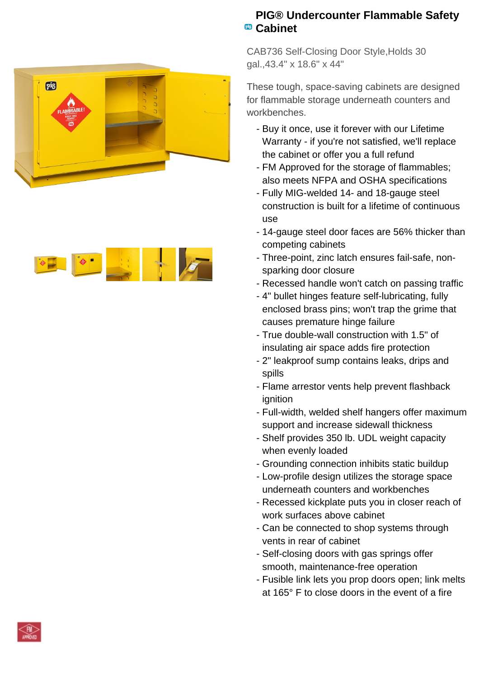



## **PIG® Undercounter Flammable Safety Cabinet**

CAB736 Self-Closing Door Style,Holds 30 gal.,43.4" x 18.6" x 44"

These tough, space-saving cabinets are designed for flammable storage underneath counters and workbenches.

- Buy it once, use it forever with our Lifetime Warranty - if you're not satisfied, we'll replace the cabinet or offer you a full refund
- FM Approved for the storage of flammables; also meets NFPA and OSHA specifications
- Fully MIG-welded 14- and 18-gauge steel construction is built for a lifetime of continuous use
- 14-gauge steel door faces are 56% thicker than competing cabinets
- Three-point, zinc latch ensures fail-safe, non- sparking door closure
- Recessed handle won't catch on passing traffic
- 4" bullet hinges feature self-lubricating, fully enclosed brass pins; won't trap the grime that causes premature hinge failure
- True double-wall construction with 1.5" of insulating air space adds fire protection
- 2" leakproof sump contains leaks, drips and spills
- Flame arrestor vents help prevent flashback ignition
- Full-width, welded shelf hangers offer maximum support and increase sidewall thickness
- Shelf provides 350 lb. UDL weight capacity when evenly loaded
- Grounding connection inhibits static buildup
- Low-profile design utilizes the storage space underneath counters and workbenches
- Recessed kickplate puts you in closer reach of work surfaces above cabinet
- Can be connected to shop systems through vents in rear of cabinet
- Self-closing doors with gas springs offer smooth, maintenance-free operation
- Fusible link lets you prop doors open; link melts at 165° F to close doors in the event of a fire